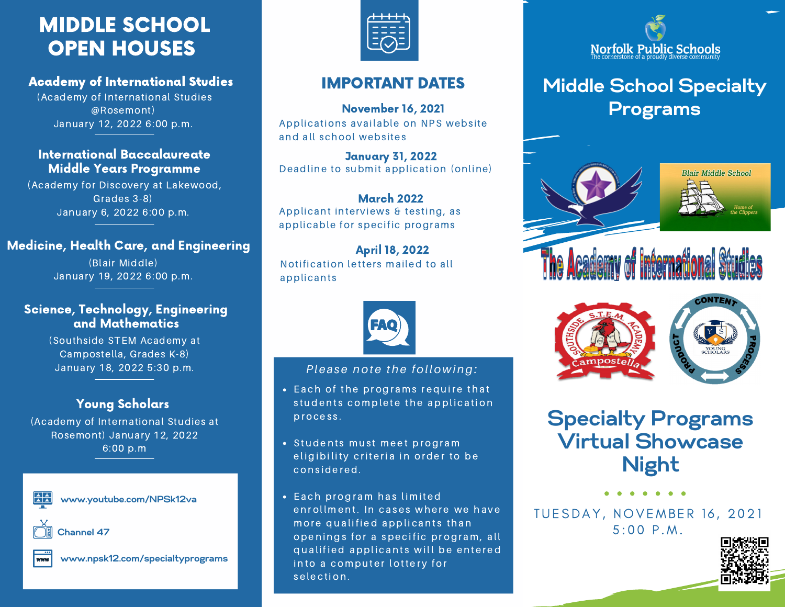# MIDDLE SCHOOL OPEN HOUSES

## Academy of International Studies

(Academy of International Studies @Rosemont) January 12, 2022 6:00 p.m.

### International Baccalaureate Middle Years Programme

(Academy for Discovery at Lakewood, Grades 3-8) January 6, 2022 6:00 p.m.

# Medicine, Health Care, and Engineering

(Blair Middle) January 19, 2022 6:00 p.m.

# Science, Technology, Engineering and Mathematics

(Southside STEM Academy at Campostella, Grades K-8) January 18, 2022 5:30 p.m.

# Young Scholars

(Academy of International Studies at Rosemont) January 12, 2022 6:00 p.m



**www.youtube.com/NPSk12va**



**Channel 47**



**www.npsk12.com/specialtyprograms**



# IMPORTANT DATES

Applications available on NPS website and all school websites November 16, 2021

Deadline to submit application (online) January 31, 2022

March 2022 Applicant interviews & testing, as applicable for specific programs

# April 18, 2022

Notification letters mailed to all applicants



#### *Please note the following:*

- Each of the programs require that students complete the application process.
- Students must meet program eligibility criteria in order to be considered.
- Each program has limited enrollment. In cases where we have more qualified applicants than openings for a specific program, all qualified applicants will be entered into a computer lottery for selection.



# **Middle School Specialty Programs**





**Specialty Programs Virtual Showcase Night**

 $5:00 P.M.$ TUESDAY, NOVEMBER 16, 2021